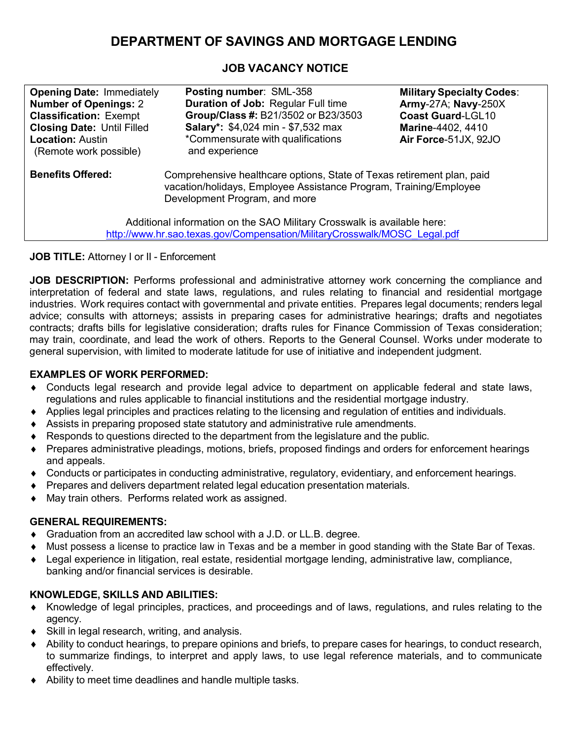# **DEPARTMENT OF SAVINGS AND MORTGAGE LENDING**

## **JOB VACANCY NOTICE**

| <b>Opening Date: Immediately</b><br><b>Number of Openings: 2</b><br><b>Classification: Exempt</b><br><b>Closing Date: Until Filled</b><br><b>Location: Austin</b><br>(Remote work possible) | Posting number: SML-358<br><b>Duration of Job: Regular Full time</b><br>Group/Class #: B21/3502 or B23/3503<br><b>Salary*: \$4,024 min - \$7,532 max</b><br>*Commensurate with qualifications<br>and experience                                                                                                                      | <b>Military Specialty Codes:</b><br><b>Army-27A; Navy-250X</b><br><b>Coast Guard-LGL10</b><br>Marine-4402, 4410<br>Air Force-51JX, 92JO |
|---------------------------------------------------------------------------------------------------------------------------------------------------------------------------------------------|--------------------------------------------------------------------------------------------------------------------------------------------------------------------------------------------------------------------------------------------------------------------------------------------------------------------------------------|-----------------------------------------------------------------------------------------------------------------------------------------|
| <b>Benefits Offered:</b>                                                                                                                                                                    | Comprehensive healthcare options, State of Texas retirement plan, paid<br>vacation/holidays, Employee Assistance Program, Training/Employee<br>Development Program, and more<br>Additional information on the SAO Military Crosswalk is available here:<br>http://www.hr.sao.texas.gov/Compensation/MilitaryCrosswalk/MOSC Legal.pdf |                                                                                                                                         |

**JOB TITLE:** Attorney I or II - Enforcement

**JOB DESCRIPTION:** Performs professional and administrative attorney work concerning the compliance and interpretation of federal and state laws, regulations, and rules relating to financial and residential mortgage industries. Work requires contact with governmental and private entities. Prepares legal documents; renders legal advice; consults with attorneys; assists in preparing cases for administrative hearings; drafts and negotiates contracts; drafts bills for legislative consideration; drafts rules for Finance Commission of Texas consideration; may train, coordinate, and lead the work of others. Reports to the General Counsel. Works under moderate to general supervision, with limited to moderate latitude for use of initiative and independent judgment.

#### **EXAMPLES OF WORK PERFORMED:**

- ♦ Conducts legal research and provide legal advice to department on applicable federal and state laws, regulations and rules applicable to financial institutions and the residential mortgage industry.
- ♦ Applies legal principles and practices relating to the licensing and regulation of entities and individuals.
- ♦ Assists in preparing proposed state statutory and administrative rule amendments.
- Responds to questions directed to the department from the legislature and the public.
- ♦ Prepares administrative pleadings, motions, briefs, proposed findings and orders for enforcement hearings and appeals.
- ♦ Conducts or participates in conducting administrative, regulatory, evidentiary, and enforcement hearings.
- ♦ Prepares and delivers department related legal education presentation materials.
- May train others. Performs related work as assigned.

#### **GENERAL REQUIREMENTS:**

- ♦ Graduation from an accredited law school with a J.D. or LL.B. degree.
- Must possess a license to practice law in Texas and be a member in good standing with the State Bar of Texas.
- Legal experience in litigation, real estate, residential mortgage lending, administrative law, compliance, banking and/or financial services is desirable.

#### **KNOWLEDGE, SKILLS AND ABILITIES:**

- ♦ Knowledge of legal principles, practices, and proceedings and of laws, regulations, and rules relating to the agency.
- ♦ Skill in legal research, writing, and analysis.
- ♦ Ability to conduct hearings, to prepare opinions and briefs, to prepare cases for hearings, to conduct research, to summarize findings, to interpret and apply laws, to use legal reference materials, and to communicate effectively.
- ♦ Ability to meet time deadlines and handle multiple tasks.